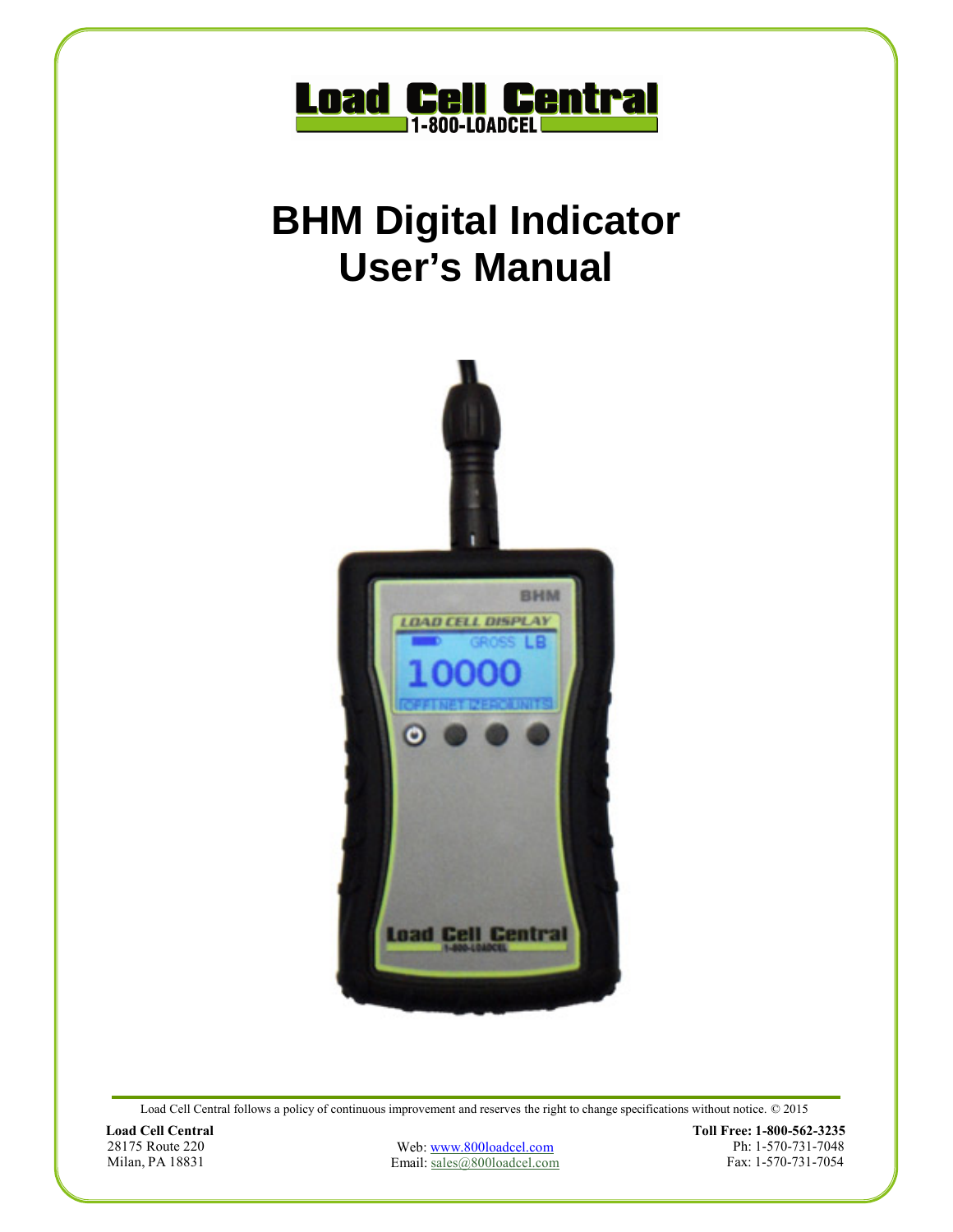

# **BHM Digital Indicator User's Manual**



Load Cell Central follows a policy of continuous improvement and reserves the right to change specifications without notice. © 2015

**Load Cell Central**  28175 Route 220 Milan, PA 18831

Web: www.800loadcel.com Email: sales@800loadcel.com **Toll Free: 1-800-562-3235** Ph: 1-570-731-7048 Fax: 1-570-731-7054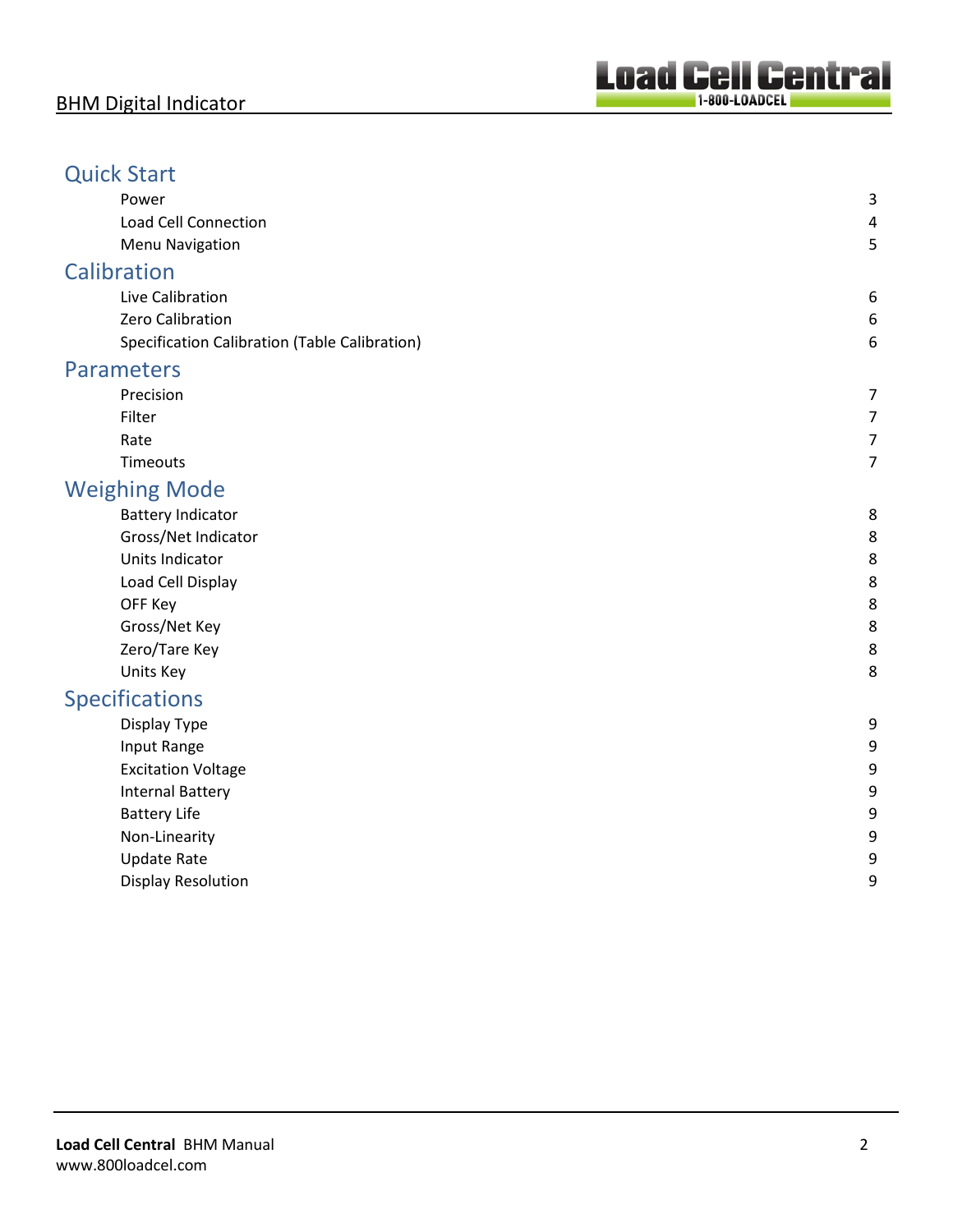### Quick Start

| Power                                         | 3 |
|-----------------------------------------------|---|
| <b>Load Cell Connection</b>                   | 4 |
| <b>Menu Navigation</b>                        | 5 |
| <b>Calibration</b>                            |   |
| Live Calibration                              | 6 |
| Zero Calibration                              | 6 |
| Specification Calibration (Table Calibration) | 6 |
| <b>Parameters</b>                             |   |
| Precision                                     | 7 |
| Filter                                        | 7 |
| Rate                                          | 7 |
| Timeouts                                      | 7 |
| <b>Weighing Mode</b>                          |   |
| <b>Battery Indicator</b>                      | 8 |
| Gross/Net Indicator                           | 8 |
| Units Indicator                               | 8 |
| Load Cell Display                             | 8 |
| OFF Key                                       | 8 |
| Gross/Net Key                                 | 8 |
| Zero/Tare Key                                 | 8 |
| Units Key                                     | 8 |
| <b>Specifications</b>                         |   |
| Display Type                                  | 9 |
| Input Range                                   | 9 |
| <b>Excitation Voltage</b>                     | 9 |
| <b>Internal Battery</b>                       | 9 |
| <b>Battery Life</b>                           | 9 |
| Non-Linearity                                 | 9 |
| <b>Update Rate</b>                            | 9 |
| <b>Display Resolution</b>                     | 9 |
|                                               |   |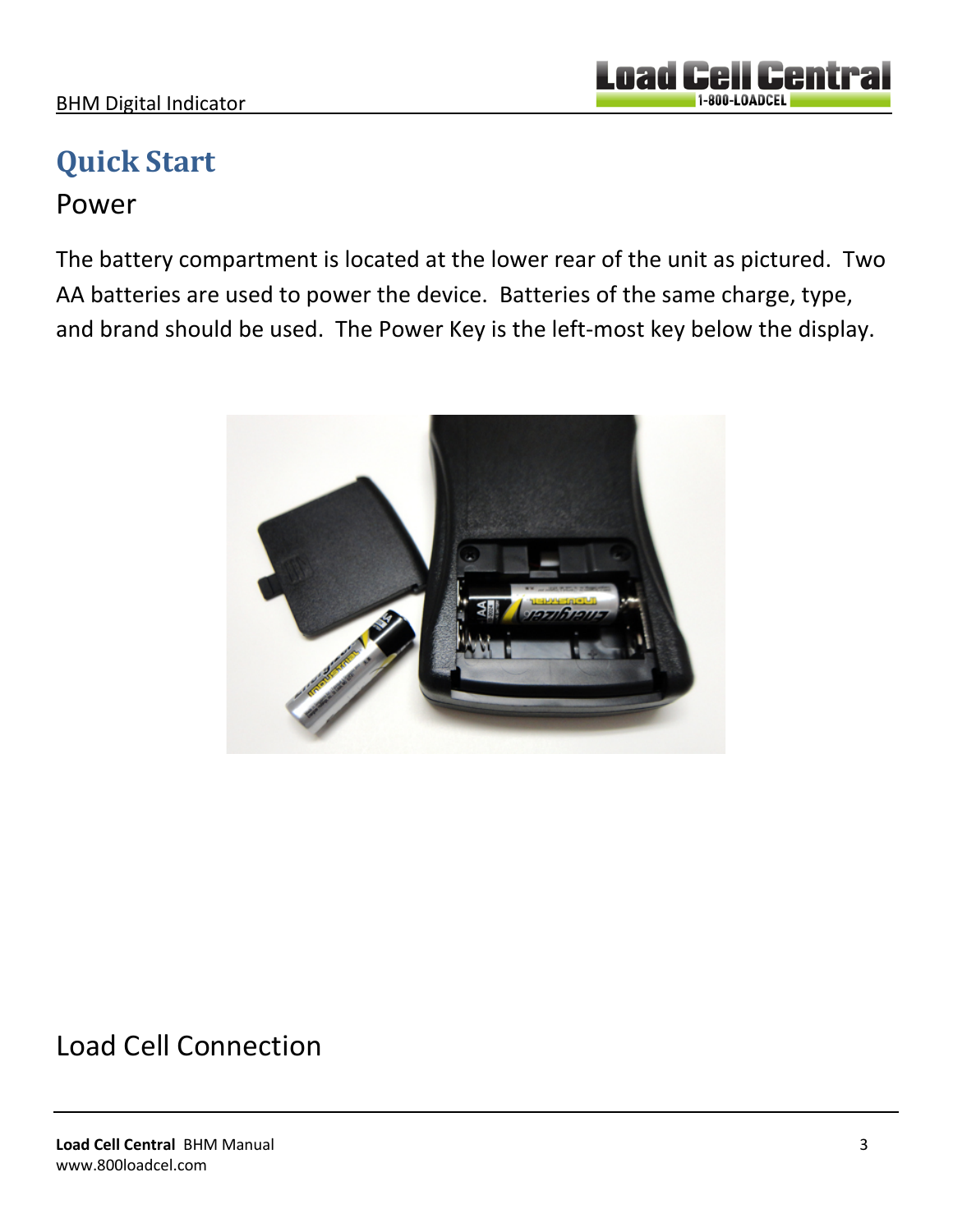#### BHM Digital Indicator

# **Quick Start**

### Power

The battery compartment is located at the lower rear of the unit as pictured. Two AA batteries are used to power the device. Batteries of the same charge, type, and brand should be used. The Power Key is the left-most key below the display.



### Load Cell Connection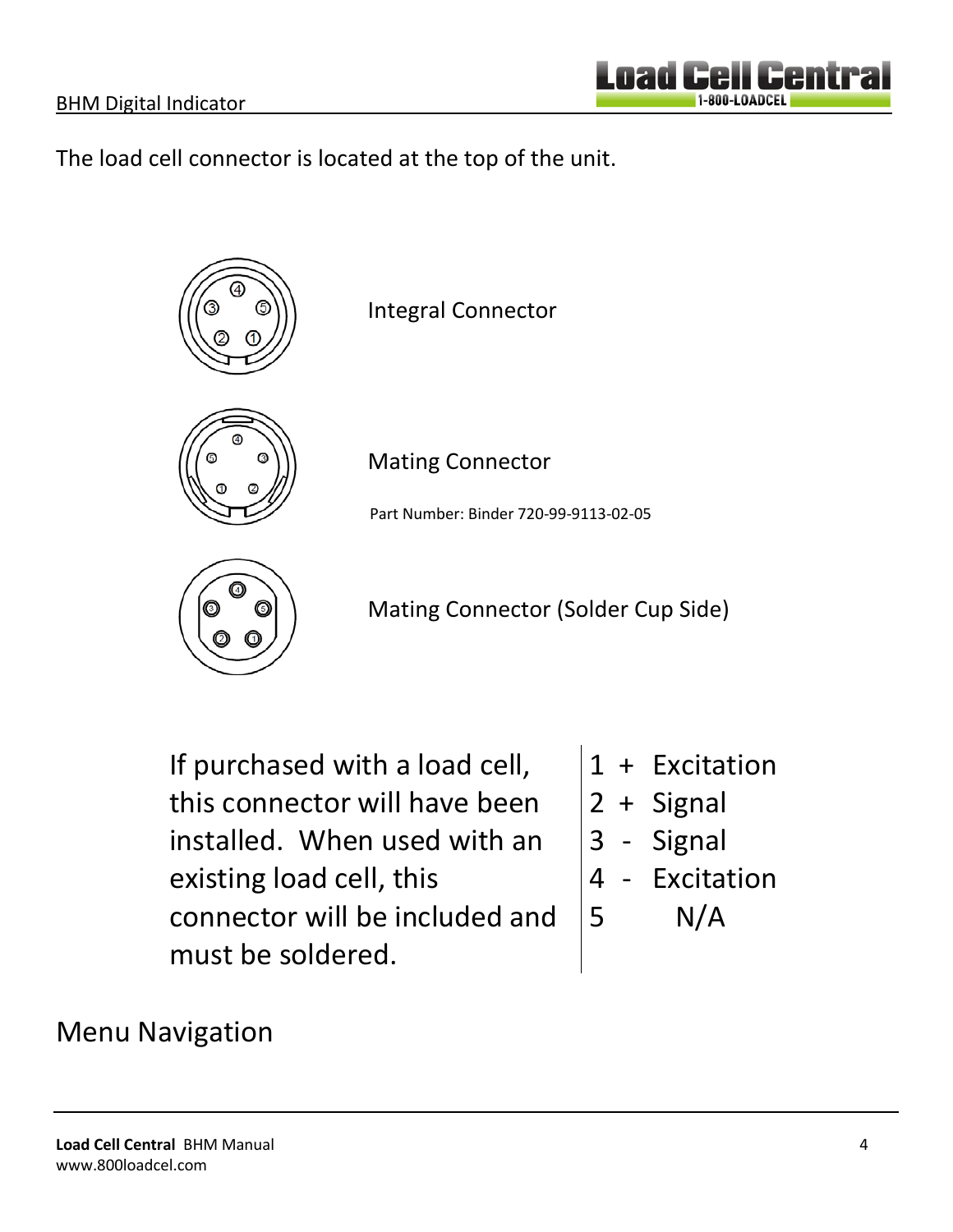The load cell connector is located at the top of the unit.



If purchased with a load cell, this connector will have been installed. When used with an existing load cell, this connector will be included and must be soldered.

- 1 + Excitation
- 2 + Signal
- 3 Signal
- 4 Excitation
- 5 N/A

### Menu Navigation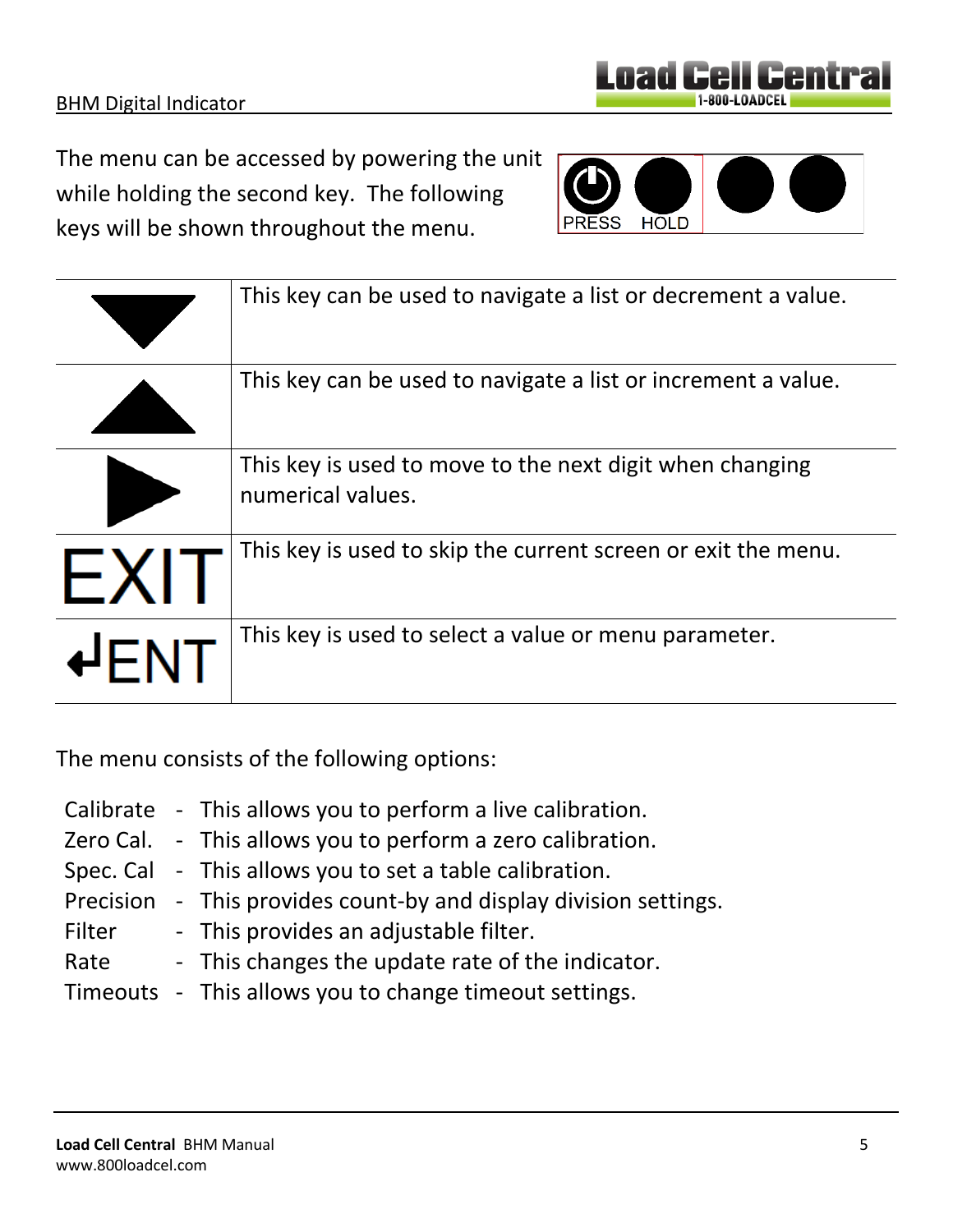|            | This key is used to move to the next digit when changing<br>numerical values. |
|------------|-------------------------------------------------------------------------------|
| $\vdash$ X | This key is used to skip the current screen or exit the menu.                 |
|            | This key is used to select a value or menu parameter.                         |

This key can be used to navigate a list or decrement a value.

This key can be used to navigate a list or increment a value.

The menu consists of the following options:

while holding the second key. The following

keys will be shown throughout the menu.

- Calibrate This allows you to perform a live calibration.
- Zero Cal. This allows you to perform a zero calibration.
- Spec. Cal This allows you to set a table calibration.
- Precision This provides count-by and display division settings.
- Filter This provides an adjustable filter.
- Rate This changes the update rate of the indicator.
- Timeouts This allows you to change timeout settings.



1-800-LOADCEI

Lnan

**HOLD**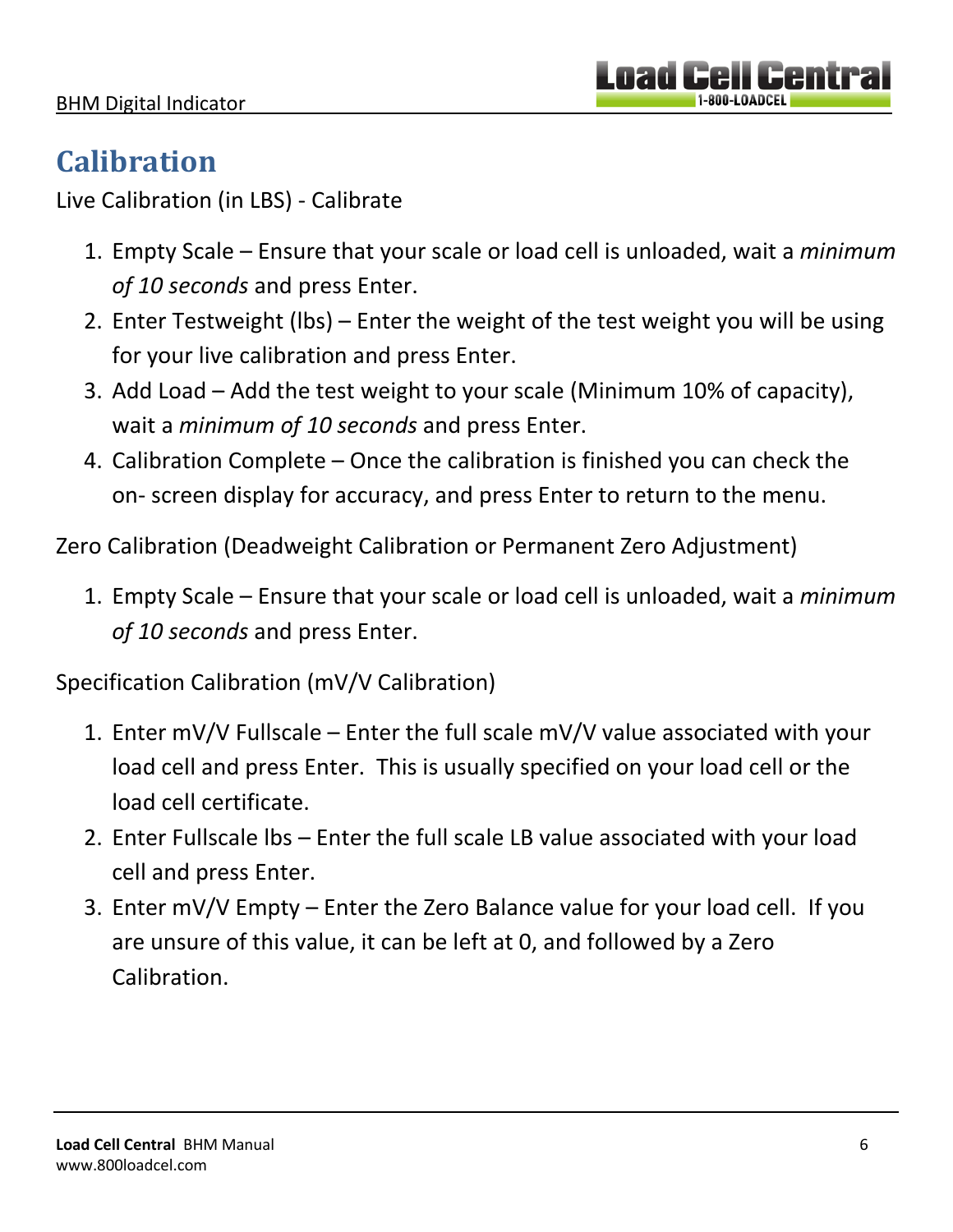# **Calibration**

Live Calibration (in LBS) - Calibrate

- 1. Empty Scale Ensure that your scale or load cell is unloaded, wait a *minimum of 10 seconds* and press Enter.
- 2. Enter Testweight (lbs) Enter the weight of the test weight you will be using for your live calibration and press Enter.
- 3. Add Load Add the test weight to your scale (Minimum 10% of capacity), wait a *minimum of 10 seconds* and press Enter.
- 4. Calibration Complete Once the calibration is finished you can check the on- screen display for accuracy, and press Enter to return to the menu.

Zero Calibration (Deadweight Calibration or Permanent Zero Adjustment)

1. Empty Scale – Ensure that your scale or load cell is unloaded, wait a *minimum of 10 seconds* and press Enter.

Specification Calibration (mV/V Calibration)

- 1. Enter mV/V Fullscale Enter the full scale mV/V value associated with your load cell and press Enter. This is usually specified on your load cell or the load cell certificate.
- 2. Enter Fullscale lbs Enter the full scale LB value associated with your load cell and press Enter.
- 3. Enter mV/V Empty Enter the Zero Balance value for your load cell. If you are unsure of this value, it can be left at 0, and followed by a Zero Calibration.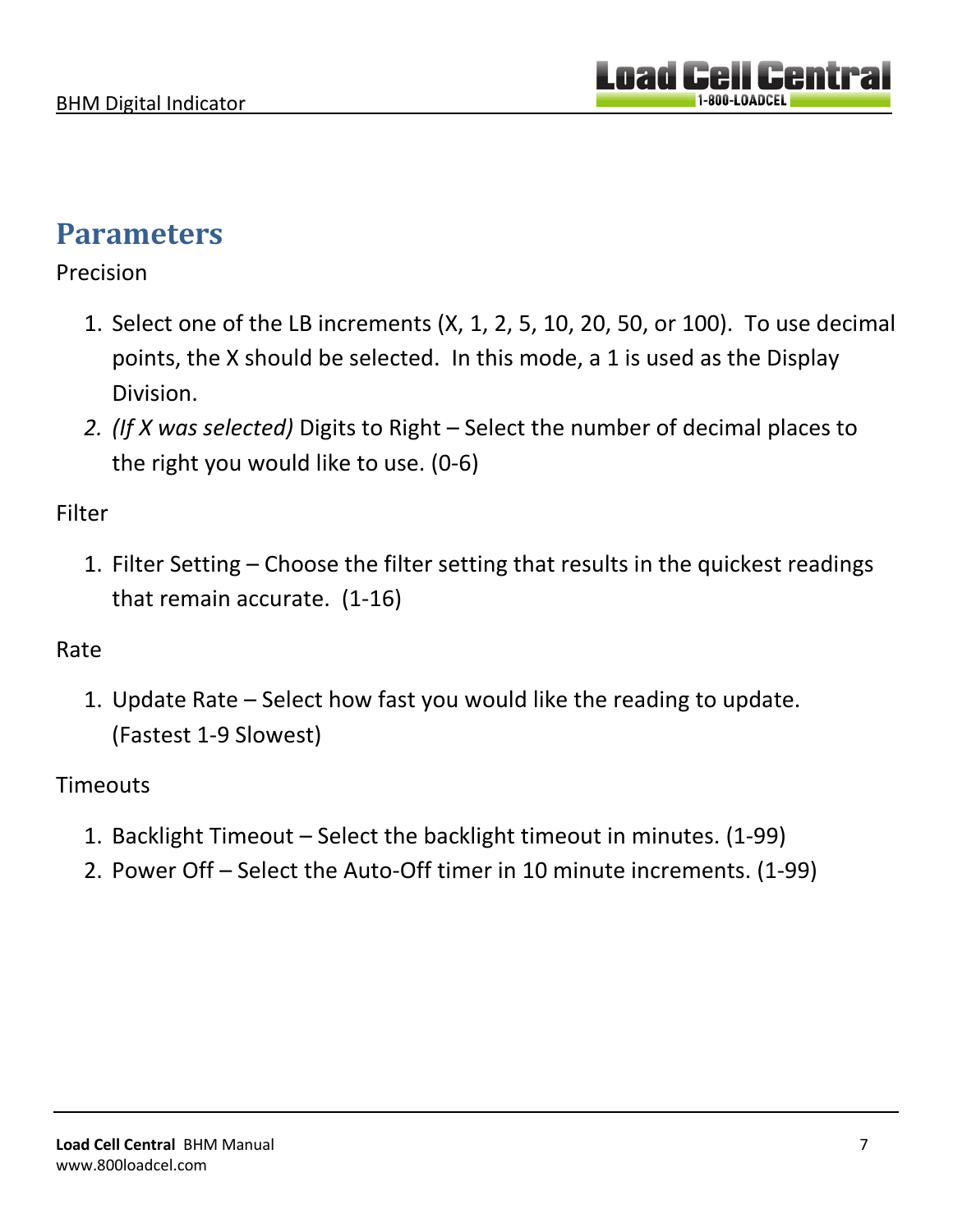### **Parameters**

#### Precision

- 1. Select one of the LB increments (X, 1, 2, 5, 10, 20, 50, or 100). To use decimal points, the X should be selected. In this mode, a 1 is used as the Display Division.
- *2. (If X was selected)* Digits to Right Select the number of decimal places to the right you would like to use. (0-6)

### Filter

1. Filter Setting – Choose the filter setting that results in the quickest readings that remain accurate. (1-16)

### Rate

1. Update Rate – Select how fast you would like the reading to update. (Fastest 1-9 Slowest)

### **Timeouts**

- 1. Backlight Timeout Select the backlight timeout in minutes. (1-99)
- 2. Power Off Select the Auto-Off timer in 10 minute increments. (1-99)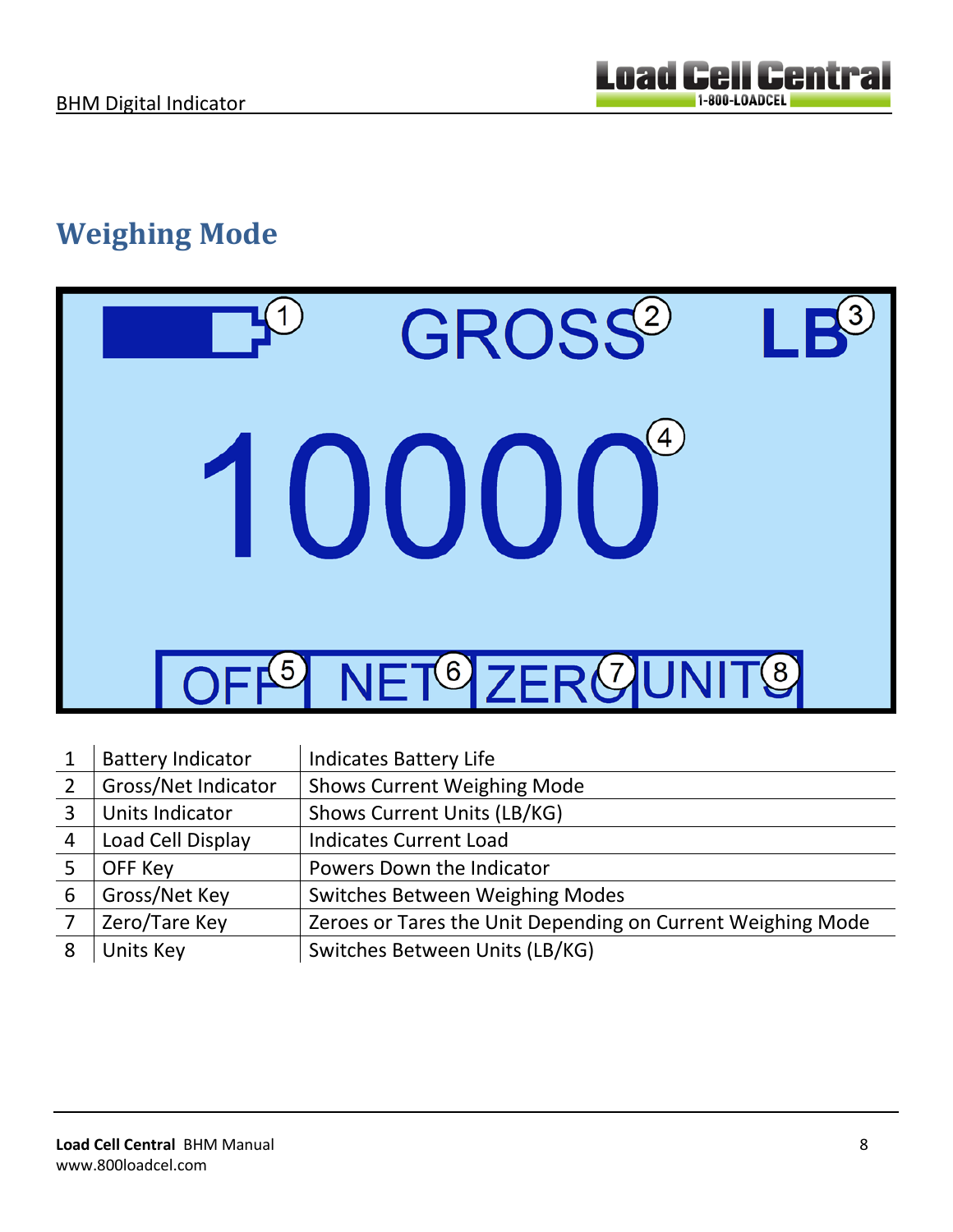# **Weighing Mode**



|                | <b>Battery Indicator</b> | <b>Indicates Battery Life</b>                               |
|----------------|--------------------------|-------------------------------------------------------------|
| $\overline{2}$ | Gross/Net Indicator      | <b>Shows Current Weighing Mode</b>                          |
| 3              | Units Indicator          | Shows Current Units (LB/KG)                                 |
| $\overline{4}$ | Load Cell Display        | <b>Indicates Current Load</b>                               |
|                | OFF Key                  | Powers Down the Indicator                                   |
| 6              | Gross/Net Key            | <b>Switches Between Weighing Modes</b>                      |
|                | Zero/Tare Key            | Zeroes or Tares the Unit Depending on Current Weighing Mode |
| 8              | Units Key                | Switches Between Units (LB/KG)                              |